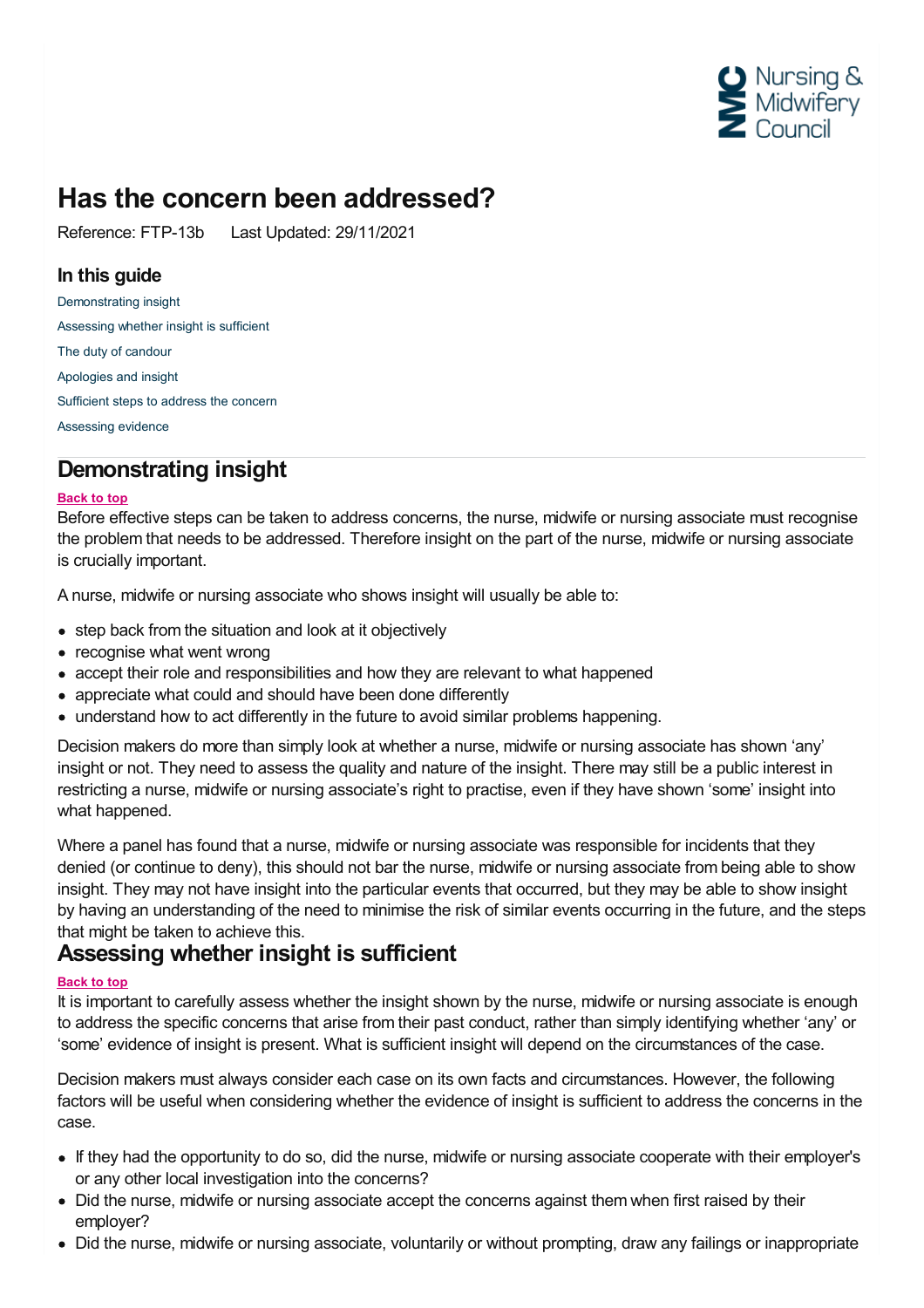

# **Has the concern been addressed?**

Reference: FTP-13b Last Updated: 29/11/2021

### **In this guide**

[Demonstrating](#page-0-0) insight [Assessing](#page-0-1) whether insight is sufficient The duty of [candour](#page-1-0) [Apologies](#page-1-1) and insight [Sufficient](#page-2-0) steps to address the concern [Assessing](#page-2-1) evidence

# <span id="page-0-0"></span>**Demonstrating insight**

#### **Back to top**

Before effective steps can be taken to address concerns, the nurse, midwife or nursing associate must recognise the problem that needs to be addressed. Therefore insight on the part of the nurse, midwife or nursing associate is crucially important.

A nurse, midwife or nursing associate who shows insight will usually be able to:

- step back from the situation and look at it objectively
- recognise what went wrong
- accept their role and responsibilities and how they are relevant to what happened
- appreciate what could and should have been done differently
- understand how to act differently in the future to avoid similar problems happening.

Decision makers do more than simply look at whether a nurse, midwife or nursing associate has shown 'any' insight or not. They need to assess the quality and nature of the insight. There may still be a public interest in restricting a nurse, midwife or nursing associate's right to practise, even if they have shown 'some' insight into what happened.

Where a panel has found that a nurse, midwife or nursing associate was responsible for incidents that they denied (or continue to deny), this should not bar the nurse, midwife or nursing associate from being able to show insight. They may not have insight into the particular events that occurred, but they may be able to show insight by having an understanding of the need to minimise the risk of similar events occurring in the future, and the steps that might be taken to achieve this.

# <span id="page-0-1"></span>**Assessing whether insight is sufficient**

#### **Back to top**

It is important to carefully assess whether the insight shown by the nurse, midwife or nursing associate is enough to address the specific concerns that arise from their past conduct, rather than simply identifying whether 'any' or 'some' evidence of insight is present. What is sufficient insight will depend on the circumstances of the case.

Decision makers must always consider each case on its own facts and circumstances. However, the following factors will be useful when considering whether the evidence of insight is sufficient to address the concerns in the case.

- If they had the opportunity to do so, did the nurse, midwife or nursing associate cooperate with their employer's or any other local investigation into the concerns?
- Did the nurse, midwife or nursing associate accept the concerns against them when first raised by their employer?
- Did the nurse, midwife or nursing associate, voluntarily or without prompting, draw any failings or inappropriate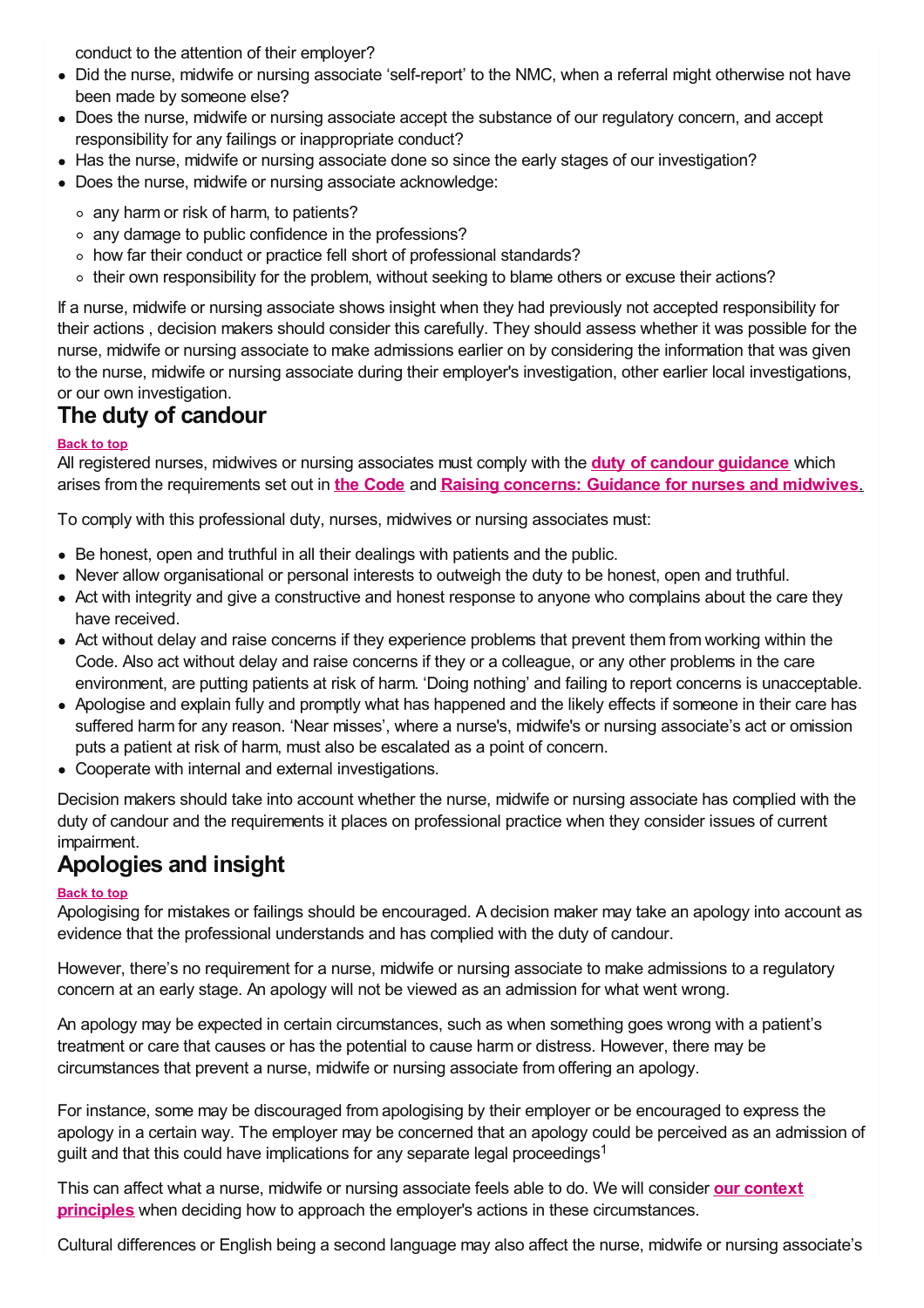conduct to the attention of their employer?

- Did the nurse, midwife or nursing associate 'self-report' to the NMC, when a referral might otherwise not have been made by someone else?
- Does the nurse, midwife or nursing associate accept the substance of our regulatory concern, and accept responsibility for any failings or inappropriate conduct?
- Has the nurse, midwife or nursing associate done so since the early stages of our investigation?
- Does the nurse, midwife or nursing associate acknowledge:
	- $\circ$  any harm or risk of harm, to patients?
	- any damage to public confidence in the professions?
	- o how far their conduct or practice fell short of professional standards?
	- their own responsibility for the problem, without seeking to blame others or excuse their actions?

If a nurse, midwife or nursing associate shows insight when they had previously not accepted responsibility for their actions , decision makers should consider this carefully. They should assess whether it was possible for the nurse, midwife or nursing associate to make admissions earlier on by considering the information that was given to the nurse, midwife or nursing associate during their employer's investigation, other earlier local investigations, or our own investigation.

# <span id="page-1-0"></span>**The duty of candour**

#### **Back to top**

All registered nurses, midwives or nursing associates must comply with the **duty of candour [guidance](https://www.nmc.org.uk/standards/guidance/the-professional-duty-of-candour/)** which arises from the requirements set out in **the [Code](https://www.nmc.org.uk/standards/code/)** and **Raising [concerns:](https://www.nmc.org.uk/standards/guidance/raising-concerns-guidance-for-nurses-and-midwives/) Guidance for nurses and midwives**.

To comply with this professional duty, nurses, midwives or nursing associates must:

- Be honest, open and truthful in all their dealings with patients and the public.
- Never allow organisational or personal interests to outweigh the duty to be honest, open and truthful.
- Act with integrity and give a constructive and honest response to anyone who complains about the care they have received.
- Act without delay and raise concerns if they experience problems that prevent them from working within the Code. Also act without delay and raise concerns if they or a colleague, or any other problems in the care environment, are putting patients at risk of harm. 'Doing nothing' and failing to report concerns is unacceptable.
- Apologise and explain fully and promptly what has happened and the likely effects if someone in their care has suffered harm for any reason. 'Near misses', where a nurse's, midwife's or nursing associate's act or omission puts a patient at risk of harm, must also be escalated as a point of concern.
- Cooperate with internal and external investigations.

Decision makers should take into account whether the nurse, midwife or nursing associate has complied with the duty of candour and the requirements it places on professional practice when they consider issues of current impairment.

# <span id="page-1-1"></span>**Apologies and insight**

#### **Back to top**

Apologising for mistakes or failings should be encouraged. A decision maker may take an apology into account as evidence that the professional understands and has complied with the duty of candour.

However, there's no requirement for a nurse, midwife or nursing associate to make admissions to a regulatory concern at an early stage. An apology will not be viewed as an admission for what went wrong.

An apology may be expected in certain circumstances, such as when something goes wrong with a patient's treatment or care that causes or has the potential to cause harm or distress. However, there may be circumstances that prevent a nurse, midwife or nursing associate from offering an apology.

For instance, some may be discouraged from apologising by their employer or be encouraged to express the apology in a certain way. The employer may be concerned that an apology could be perceived as an admission of guilt and that this could have implications for any separate legal proceedings<sup>1</sup>

This can affect what a nurse, midwife or nursing associate feels able to do. We will consider **our context principles** when deciding how to approach the employer's actions in these [circumstances.](https://www.nmc.org.uk/ftp-library/understanding-fitness-to-practise/taking-account-of-context/commitment-7/)

Cultural differences or English being a second language may also affect the nurse, midwife or nursing associate's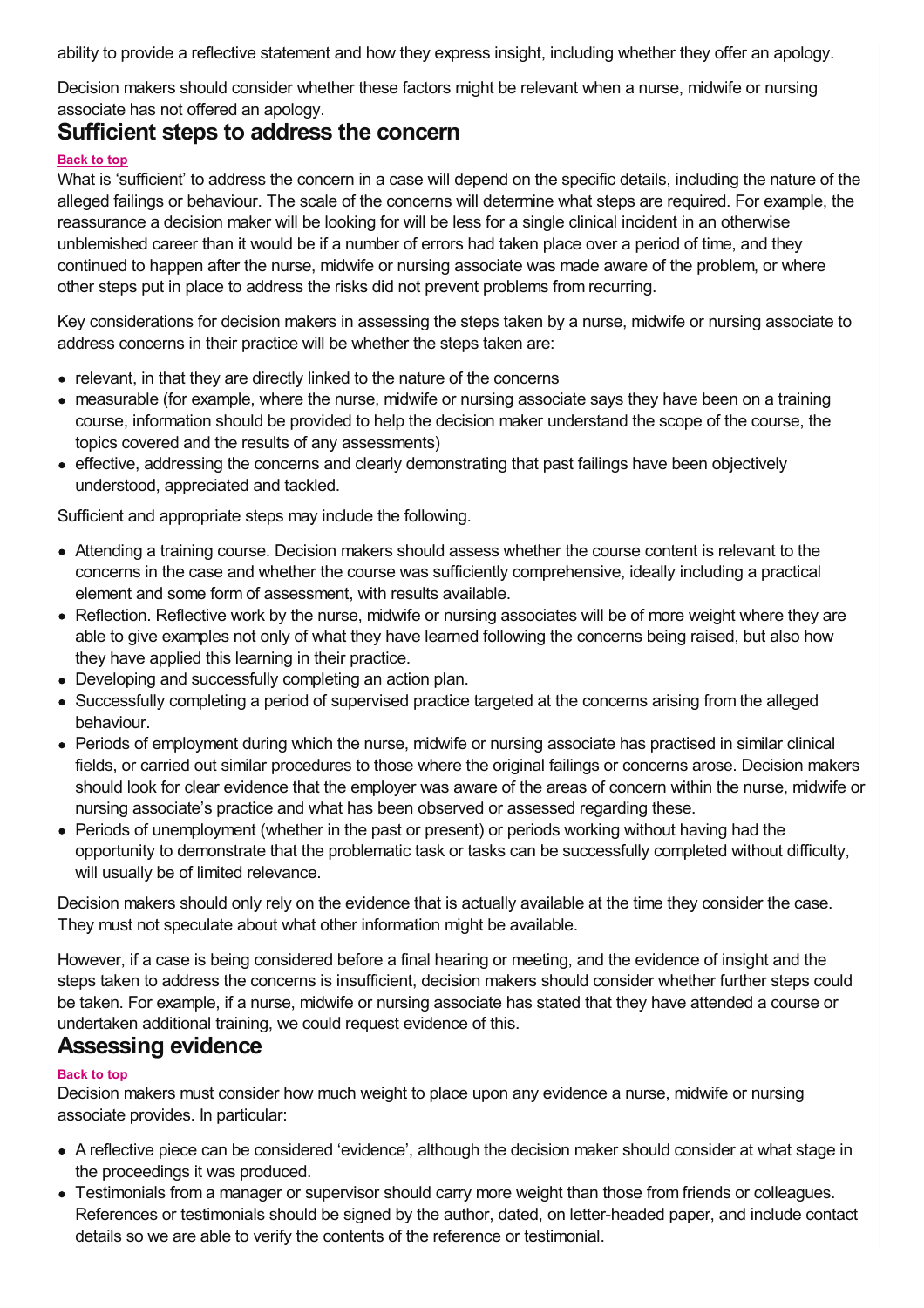ability to provide a reflective statement and how they express insight, including whether they offer an apology.

Decision makers should consider whether these factors might be relevant when a nurse, midwife or nursing associate has not offered an apology.

### <span id="page-2-0"></span>**Sufficient steps to address the concern**

#### **Back to top**

What is 'sufficient' to address the concern in a case will depend on the specific details, including the nature of the alleged failings or behaviour. The scale of the concerns will determine what steps are required. For example, the reassurance a decision maker will be looking for will be less for a single clinical incident in an otherwise unblemished career than it would be if a number of errors had taken place over a period of time, and they continued to happen after the nurse, midwife or nursing associate was made aware of the problem, or where other steps put in place to address the risks did not prevent problems from recurring.

Key considerations for decision makers in assessing the steps taken by a nurse, midwife or nursing associate to address concerns in their practice will be whether the steps taken are:

- relevant, in that they are directly linked to the nature of the concerns
- measurable (for example, where the nurse, midwife or nursing associate says they have been on a training course, information should be provided to help the decision maker understand the scope of the course, the topics covered and the results of any assessments)
- effective, addressing the concerns and clearly demonstrating that past failings have been objectively understood, appreciated and tackled.

Sufficient and appropriate steps may include the following.

- Attending a training course. Decision makers should assess whether the course content is relevant to the concerns in the case and whether the course was sufficiently comprehensive, ideally including a practical element and some form of assessment, with results available.
- Reflection. Reflective work by the nurse, midwife or nursing associates will be of more weight where they are able to give examples not only of what they have learned following the concerns being raised, but also how they have applied this learning in their practice.
- Developing and successfully completing an action plan.
- Successfully completing a period of supervised practice targeted at the concerns arising from the alleged behaviour.
- Periods of employment during which the nurse, midwife or nursing associate has practised in similar clinical fields, or carried out similar procedures to those where the original failings or concerns arose. Decision makers should look for clear evidence that the employer was aware of the areas of concern within the nurse, midwife or nursing associate's practice and what has been observed or assessed regarding these.
- Periods of unemployment (whether in the past or present) or periods working without having had the opportunity to demonstrate that the problematic task or tasks can be successfully completed without difficulty, will usually be of limited relevance.

Decision makers should only rely on the evidence that is actually available at the time they consider the case. They must not speculate about what other information might be available.

However, if a case is being considered before a final hearing or meeting, and the evidence of insight and the steps taken to address the concerns is insufficient, decision makers should consider whether further steps could be taken. For example, if a nurse, midwife or nursing associate has stated that they have attended a course or undertaken additional training, we could request evidence of this.

### <span id="page-2-1"></span>**Assessing evidence**

#### **Back to top**

Decision makers must consider how much weight to place upon any evidence a nurse, midwife or nursing associate provides. In particular:

- A reflective piece can be considered 'evidence', although the decision maker should consider at what stage in the proceedings it was produced.
- Testimonials from a manager or supervisor should carry more weight than those from friends or colleagues. References or testimonials should be signed by the author, dated, on letter-headed paper, and include contact details so we are able to verify the contents of the reference or testimonial.